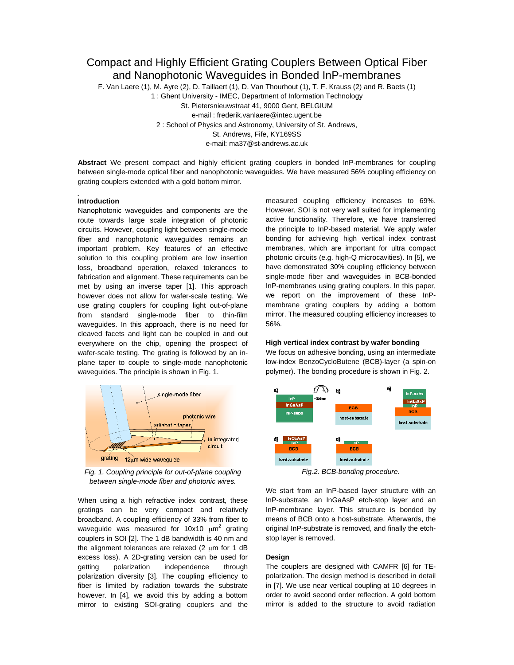# Compact and Highly Efficient Grating Couplers Between Optical Fiber and Nanophotonic Waveguides in Bonded InP-membranes

F. Van Laere (1), M. Ayre (2), D. Taillaert (1), D. Van Thourhout (1), T. F. Krauss (2) and R. Baets (1)

1 : Ghent University - IMEC, Department of Information Technology St. Pietersnieuwstraat 41, 9000 Gent, BELGIUM e-mail : frederik.vanlaere@intec.ugent.be 2 : School of Physics and Astronomy, University of St. Andrews, St. Andrews, Fife, KY169SS e-mail: ma37@st-andrews.ac.uk

**Abstract** We present compact and highly efficient grating couplers in bonded InP-membranes for coupling between single-mode optical fiber and nanophotonic waveguides. We have measured 56% coupling efficiency on grating couplers extended with a gold bottom mirror.

## **Introduction**

Nanophotonic waveguides and components are the route towards large scale integration of photonic circuits. However, coupling light between single-mode fiber and nanophotonic waveguides remains an important problem. Key features of an effective solution to this coupling problem are low insertion loss, broadband operation, relaxed tolerances to fabrication and alignment. These requirements can be met by using an inverse taper [1]. This approach however does not allow for wafer-scale testing. We use grating couplers for coupling light out-of-plane from standard single-mode fiber to thin-film waveguides. In this approach, there is no need for cleaved facets and light can be coupled in and out everywhere on the chip, opening the prospect of wafer-scale testing. The grating is followed by an inplane taper to couple to single-mode nanophotonic waveguides. The principle is shown in Fig. 1.



*Fig. 1. Coupling principle for out-of-plane coupling between single-mode fiber and photonic wires.* 

When using a high refractive index contrast, these gratings can be very compact and relatively broadband. A coupling efficiency of 33% from fiber to waveguide was measured for 10x10  $\mu$ m<sup>2</sup> grating couplers in SOI [2]. The 1 dB bandwidth is 40 nm and the alignment tolerances are relaxed (2  $\mu$ m for 1 dB excess loss). A 2D-grating version can be used for getting polarization independence through polarization diversity [3]. The coupling efficiency to fiber is limited by radiation towards the substrate however. In [4], we avoid this by adding a bottom mirror to existing SOI-grating couplers and the

measured coupling efficiency increases to 69%. However, SOI is not very well suited for implementing active functionality. Therefore, we have transferred the principle to InP-based material. We apply wafer bonding for achieving high vertical index contrast membranes, which are important for ultra compact photonic circuits (e.g. high-Q microcavities). In [5], we have demonstrated 30% coupling efficiency between single-mode fiber and waveguides in BCB-bonded InP-membranes using grating couplers. In this paper, we report on the improvement of these InPmembrane grating couplers by adding a bottom mirror. The measured coupling efficiency increases to 56%.

# **High vertical index contrast by wafer bonding**

We focus on adhesive bonding, using an intermediate low-index BenzoCycloButene (BCB)-layer (a spin-on polymer). The bonding procedure is shown in Fig. 2.



*Fig.2. BCB-bonding procedure.* 

We start from an InP-based layer structure with an InP-substrate, an InGaAsP etch-stop layer and an InP-membrane layer. This structure is bonded by means of BCB onto a host-substrate. Afterwards, the original InP-substrate is removed, and finally the etchstop layer is removed.

## **Design**

The couplers are designed with CAMFR [6] for TEpolarization. The design method is described in detail in [7]. We use near vertical coupling at 10 degrees in order to avoid second order reflection. A gold bottom mirror is added to the structure to avoid radiation